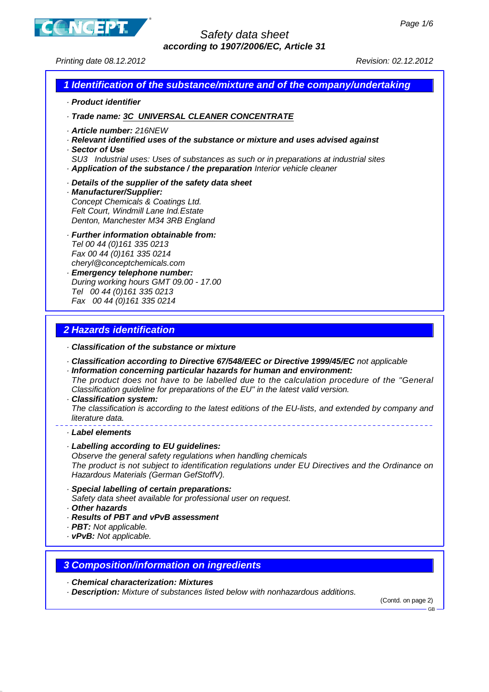

Printing date 08.12.2012 Revision: 02.12.2012

#### **1 Identification of the substance/mixture and of the company/undertaking**

- · **Product identifier**
- · **Trade name: 3C UNIVERSAL CLEANER CONCENTRATE**
- · **Article number:** 216NEW
- · **Relevant identified uses of the substance or mixture and uses advised against**
- · **Sector of Use**
- SU3 Industrial uses: Uses of substances as such or in preparations at industrial sites · **Application of the substance / the preparation** Interior vehicle cleaner
- · **Details of the supplier of the safety data sheet**
- · **Manufacturer/Supplier:** Concept Chemicals & Coatings Ltd. Felt Court, Windmill Lane Ind.Estate Denton, Manchester M34 3RB England
- · **Further information obtainable from:** Tel 00 44 (0)161 335 0213 Fax 00 44 (0)161 335 0214 cheryl@conceptchemicals.com · **Emergency telephone number:**
- During working hours GMT 09.00 17.00 Tel 00 44 (0)161 335 0213 Fax 00 44 (0)161 335 0214

### **2 Hazards identification**

- · **Classification of the substance or mixture**
- · **Classification according to Directive 67/548/EEC or Directive 1999/45/EC** not applicable
- · **Information concerning particular hazards for human and environment:** The product does not have to be labelled due to the calculation procedure of the "General Classification guideline for preparations of the EU" in the latest valid version.
- · **Classification system:**

The classification is according to the latest editions of the EU-lists, and extended by company and literature data.

- · **Label elements**
- · **Labelling according to EU guidelines:**

Observe the general safety regulations when handling chemicals The product is not subject to identification regulations under EU Directives and the Ordinance on Hazardous Materials (German GefStoffV).

- · **Special labelling of certain preparations:** Safety data sheet available for professional user on request.
- · **Other hazards**
- · **Results of PBT and vPvB assessment**
- · **PBT:** Not applicable.
- · **vPvB:** Not applicable.

### **3 Composition/information on ingredients**

- · **Chemical characterization: Mixtures**
- · **Description:** Mixture of substances listed below with nonhazardous additions.

(Contd. on page 2)

GB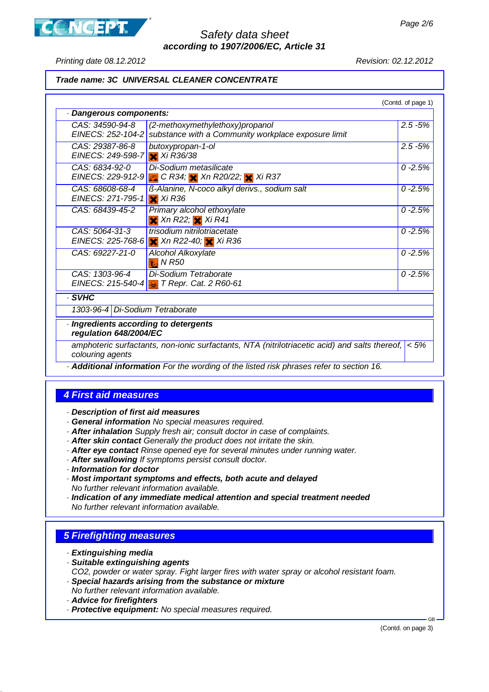

Printing date 08.12.2012 Revision: 02.12.2012

#### **Trade name: 3C UNIVERSAL CLEANER CONCENTRATE**

|                                                                 |                                                                                               | (Contd. of page 1) |
|-----------------------------------------------------------------|-----------------------------------------------------------------------------------------------|--------------------|
| · Dangerous components:                                         |                                                                                               |                    |
| CAS: 34590-94-8<br>EINECS: 252-104-2                            | (2-methoxymethylethoxy)propanol<br>substance with a Community workplace exposure limit        | $2.5 - 5%$         |
| CAS: 29387-86-8<br>EINECS: 249-598-7                            | butoxypropan-1-ol<br>$X$ Xi R36/38                                                            | $2.5 - 5%$         |
| CAS: 6834-92-0                                                  | Di-Sodium metasilicate<br>EINECS: 229-912-9 3 C R34; X Xn R20/22; X Xi R37                    | $0 - 2.5%$         |
| CAS: 68608-68-4<br>EINECS: 271-795-1                            | ß-Alanine, N-coco alkyl derivs., sodium salt<br>$X$ Xi R36                                    | $0 - 2.5%$         |
| CAS: 68439-45-2                                                 | Primary alcohol ethoxylate<br>$\times$ Xn R22; $\times$ Xi R41                                | $0 - 2.5%$         |
| CAS: 5064-31-3<br>EINECS: 225-768-6                             | trisodium nitrilotriacetate<br>$\times$ Xn R22-40; $\times$ Xi R36                            | $0 - 2.5%$         |
| CAS: 69227-21-0                                                 | Alcohol Alkoxylate<br>$\frac{1}{10}$ N R50                                                    | $0 - 2.5%$         |
| CAS: 1303-96-4<br>EINECS: 215-540-4                             | Di-Sodium Tetraborate<br><b>P</b> T Repr. Cat. 2 R60-61                                       | $0 - 2.5%$         |
| . SVHC                                                          |                                                                                               |                    |
| 1303-96-4 Di-Sodium Tetraborate                                 |                                                                                               |                    |
| · Ingredients according to detergents<br>regulation 648/2004/EC |                                                                                               |                    |
| colouring agents                                                | amphoteric surfactants, non-ionic surfactants, NTA (nitrilotriacetic acid) and salts thereof, | $< 5\%$            |

· **Additional information** For the wording of the listed risk phrases refer to section 16.

### **4 First aid measures**

· **Description of first aid measures**

- · **General information** No special measures required.
- · **After inhalation** Supply fresh air; consult doctor in case of complaints.
- · **After skin contact** Generally the product does not irritate the skin.
- · **After eye contact** Rinse opened eye for several minutes under running water.
- · **After swallowing** If symptoms persist consult doctor.
- · **Information for doctor**
- · **Most important symptoms and effects, both acute and delayed** No further relevant information available.
- · **Indication of any immediate medical attention and special treatment needed** No further relevant information available.

# **5 Firefighting measures**

- · **Extinguishing media**
- · **Suitable extinguishing agents** CO2, powder or water spray. Fight larger fires with water spray or alcohol resistant foam.
- · **Special hazards arising from the substance or mixture**
- No further relevant information available.
- · **Advice for firefighters**
- · **Protective equipment:** No special measures required.

(Contd. on page 3)

GB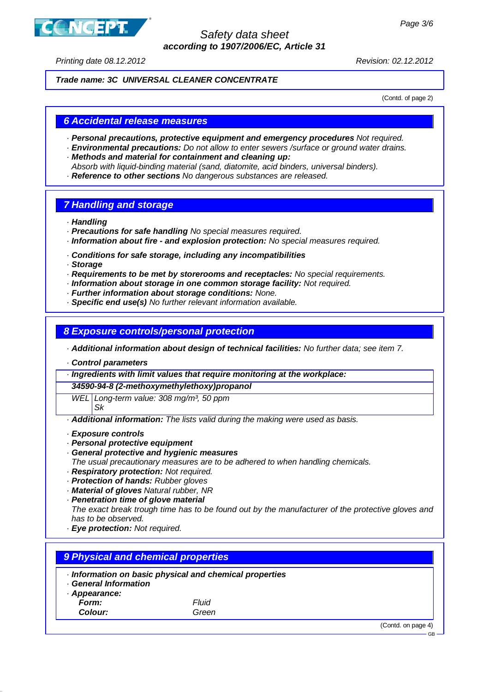

Printing date 08.12.2012 Revision: 02.12.2012

#### **Trade name: 3C UNIVERSAL CLEANER CONCENTRATE**

(Contd. of page 2)

#### **6 Accidental release measures**

- · **Personal precautions, protective equipment and emergency procedures** Not required.
- · **Environmental precautions:** Do not allow to enter sewers /surface or ground water drains. · **Methods and material for containment and cleaning up:**
- Absorb with liquid-binding material (sand, diatomite, acid binders, universal binders).
- · **Reference to other sections** No dangerous substances are released.

### **7 Handling and storage**

- · **Handling**
- · **Precautions for safe handling** No special measures required.
- · **Information about fire and explosion protection:** No special measures required.
- · **Conditions for safe storage, including any incompatibilities**
- · **Storage**
- · **Requirements to be met by storerooms and receptacles:** No special requirements.
- · **Information about storage in one common storage facility:** Not required.
- · **Further information about storage conditions:** None.
- · **Specific end use(s)** No further relevant information available.

### **8 Exposure controls/personal protection**

· **Additional information about design of technical facilities:** No further data; see item 7.

· **Control parameters**

· **Ingredients with limit values that require monitoring at the workplace:**

**34590-94-8 (2-methoxymethylethoxy)propanol**

WEL Long-term value: 308 mg/m<sup>3</sup>, 50 ppm

Sk

· **Additional information:** The lists valid during the making were used as basis.

- · **Exposure controls**
- · **Personal protective equipment**
- · **General protective and hygienic measures**
- The usual precautionary measures are to be adhered to when handling chemicals.
- · **Respiratory protection:** Not required.
- · **Protection of hands:** Rubber gloves
- · **Material of gloves** Natural rubber, NR
- · **Penetration time of glove material**

The exact break trough time has to be found out by the manufacturer of the protective gloves and has to be observed.

· **Eye protection:** Not required.

### **9 Physical and chemical properties**

- · **Information on basic physical and chemical properties**
- · **General Information**
- · **Appearance:**
	- **Form:** Fluid **Colour:** Green

(Contd. on page 4)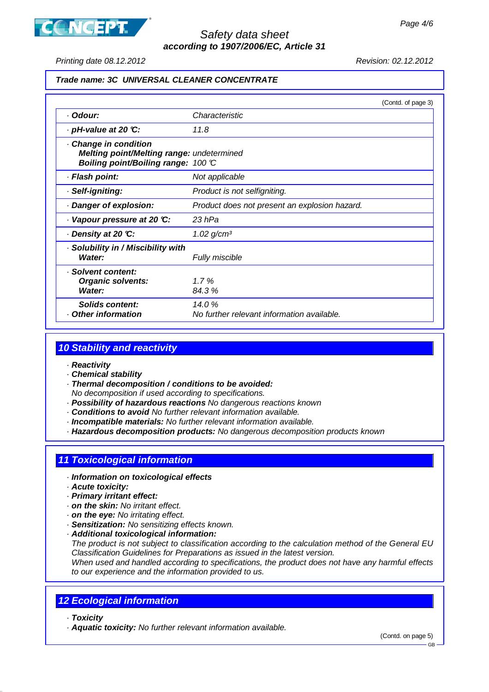



Printing date 08.12.2012 Revision: 02.12.2012

#### **Trade name: 3C UNIVERSAL CLEANER CONCENTRATE**

|                                                                                                         |                                                     | (Contd. of page 3) |
|---------------------------------------------------------------------------------------------------------|-----------------------------------------------------|--------------------|
| · Odour:                                                                                                | Characteristic                                      |                    |
| $\cdot$ pH-value at 20 °C:                                                                              | 11.8                                                |                    |
| Change in condition<br>Melting point/Melting range: undetermined<br>Boiling point/Boiling range: 100 °C |                                                     |                    |
| · Flash point:                                                                                          | Not applicable                                      |                    |
| · Self-igniting:                                                                                        | Product is not selfigniting.                        |                    |
| Danger of explosion:                                                                                    | Product does not present an explosion hazard.       |                    |
| $\cdot$ Vapour pressure at 20 °C:                                                                       | 23 hPa                                              |                    |
| ⋅ Density at 20 ℃:                                                                                      | $1.02$ g/cm <sup>3</sup>                            |                    |
| · Solubility in / Miscibility with<br>Water:                                                            | Fully miscible                                      |                    |
| · Solvent content:<br><b>Organic solvents:</b><br><b>Water:</b>                                         | 1.7%<br>84.3 %                                      |                    |
| Solids content:<br>Other information                                                                    | 14.0%<br>No further relevant information available. |                    |

### **10 Stability and reactivity**

- · **Reactivity**
- · **Chemical stability**
- · **Thermal decomposition / conditions to be avoided:**
	- No decomposition if used according to specifications.
- · **Possibility of hazardous reactions** No dangerous reactions known
- · **Conditions to avoid** No further relevant information available.
- · **Incompatible materials:** No further relevant information available.
- · **Hazardous decomposition products:** No dangerous decomposition products known

# **11 Toxicological information**

- · **Information on toxicological effects**
- · **Acute toxicity:**
- · **Primary irritant effect:**
- · **on the skin:** No irritant effect.
- · **on the eye:** No irritating effect.
- · **Sensitization:** No sensitizing effects known.
- · **Additional toxicological information:**

The product is not subject to classification according to the calculation method of the General EU Classification Guidelines for Preparations as issued in the latest version.

When used and handled according to specifications, the product does not have any harmful effects to our experience and the information provided to us.

### **12 Ecological information**

- · **Toxicity**
- · **Aquatic toxicity:** No further relevant information available.

(Contd. on page 5)

GB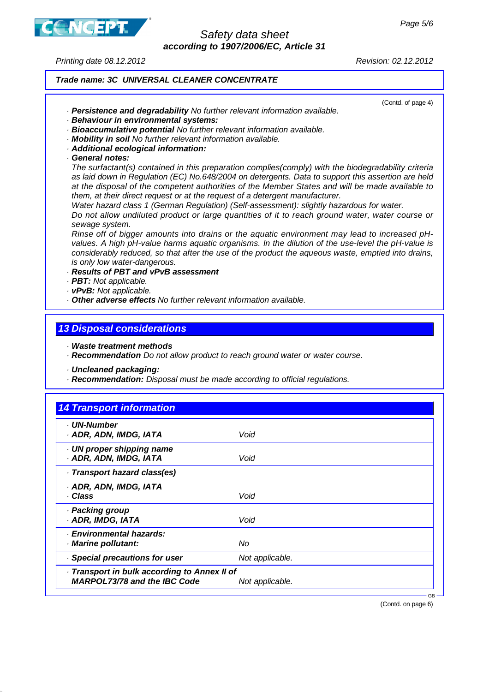Page 5/6



## Safety data sheet **according to 1907/2006/EC, Article 31**

Printing date 08.12.2012 Revision: 02.12.2012

(Contd. of page 4)

# **Trade name: 3C UNIVERSAL CLEANER CONCENTRATE**

- · **Persistence and degradability** No further relevant information available.
- · **Behaviour in environmental systems:**
- · **Bioaccumulative potential** No further relevant information available.
- · **Mobility in soil** No further relevant information available.
- · **Additional ecological information:**
- · **General notes:**

The surfactant(s) contained in this preparation complies(comply) with the biodegradability criteria as laid down in Regulation (EC) No.648/2004 on detergents. Data to support this assertion are held at the disposal of the competent authorities of the Member States and will be made available to them, at their direct request or at the request of a detergent manufacturer.

Water hazard class 1 (German Regulation) (Self-assessment): slightly hazardous for water.

Do not allow undiluted product or large quantities of it to reach ground water, water course or sewage system.

Rinse off of bigger amounts into drains or the aquatic environment may lead to increased pHvalues. A high pH-value harms aquatic organisms. In the dilution of the use-level the pH-value is considerably reduced, so that after the use of the product the aqueous waste, emptied into drains, is only low water-dangerous.

#### · **Results of PBT and vPvB assessment**

- · **PBT:** Not applicable.
- · **vPvB:** Not applicable.
- · **Other adverse effects** No further relevant information available.

### **13 Disposal considerations**

· **Waste treatment methods**

· **Recommendation** Do not allow product to reach ground water or water course.

- · **Uncleaned packaging:**
- · **Recommendation:** Disposal must be made according to official regulations.

| · UN-Number                                         |                 |  |
|-----------------------------------------------------|-----------------|--|
| · ADR, ADN, IMDG, IATA                              | Void            |  |
| · UN proper shipping name<br>· ADR, ADN, IMDG, IATA | Void            |  |
| · Transport hazard class(es)                        |                 |  |
| · ADR, ADN, IMDG, IATA                              |                 |  |
| · Class                                             | Void            |  |
| · Packing group                                     |                 |  |
| · ADR, IMDG, IATA                                   | Void            |  |
| <b>Environmental hazards:</b>                       |                 |  |
| · Marine pollutant:                                 | No              |  |
| Special precautions for user                        | Not applicable. |  |
| · Transport in bulk according to Annex II of        |                 |  |
| <b>MARPOL73/78 and the IBC Code</b>                 | Not applicable. |  |

(Contd. on page 6)